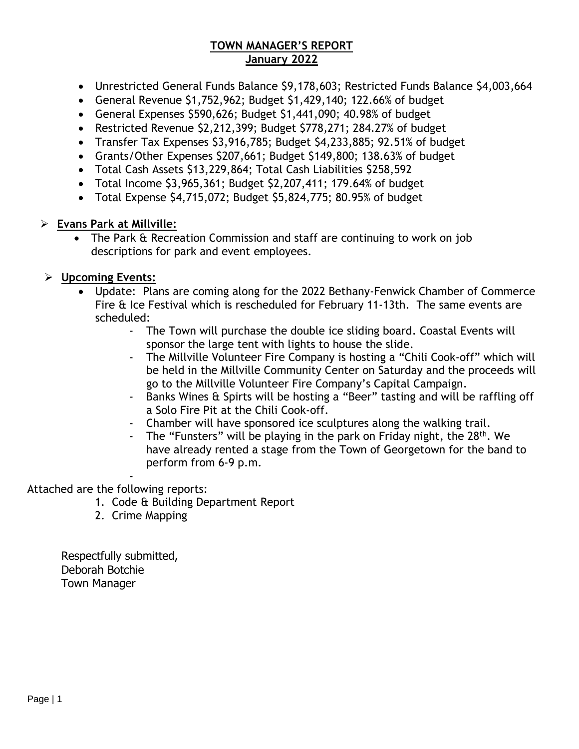### **TOWN MANAGER'S REPORT January 2022**

- Unrestricted General Funds Balance \$9,178,603; Restricted Funds Balance \$4,003,664
- General Revenue \$1,752,962; Budget \$1,429,140; 122.66% of budget
- General Expenses \$590,626; Budget \$1,441,090; 40.98% of budget
- Restricted Revenue \$2,212,399; Budget \$778,271; 284.27% of budget
- Transfer Tax Expenses \$3,916,785; Budget \$4,233,885; 92.51% of budget
- Grants/Other Expenses \$207,661; Budget \$149,800; 138.63% of budget
- Total Cash Assets \$13,229,864; Total Cash Liabilities \$258,592
- Total Income \$3,965,361; Budget \$2,207,411; 179.64% of budget
- Total Expense \$4,715,072; Budget \$5,824,775; 80.95% of budget

## ➢ **Evans Park at Millville:**

• The Park & Recreation Commission and staff are continuing to work on job descriptions for park and event employees.

## ➢ **Upcoming Events:**

- Update: Plans are coming along for the 2022 Bethany-Fenwick Chamber of Commerce Fire & Ice Festival which is rescheduled for February 11-13th. The same events are scheduled:
	- The Town will purchase the double ice sliding board. Coastal Events will sponsor the large tent with lights to house the slide.
	- The Millville Volunteer Fire Company is hosting a "Chili Cook-off" which will be held in the Millville Community Center on Saturday and the proceeds will go to the Millville Volunteer Fire Company's Capital Campaign.
	- Banks Wines & Spirts will be hosting a "Beer" tasting and will be raffling off a Solo Fire Pit at the Chili Cook-off.
	- Chamber will have sponsored ice sculptures along the walking trail.
	- The "Funsters" will be playing in the park on Friday night, the 28<sup>th</sup>. We have already rented a stage from the Town of Georgetown for the band to perform from 6-9 p.m.

#### - Attached are the following reports:

- 1. Code & Building Department Report
- 2. Crime Mapping

Respectfully submitted, Deborah Botchie Town Manager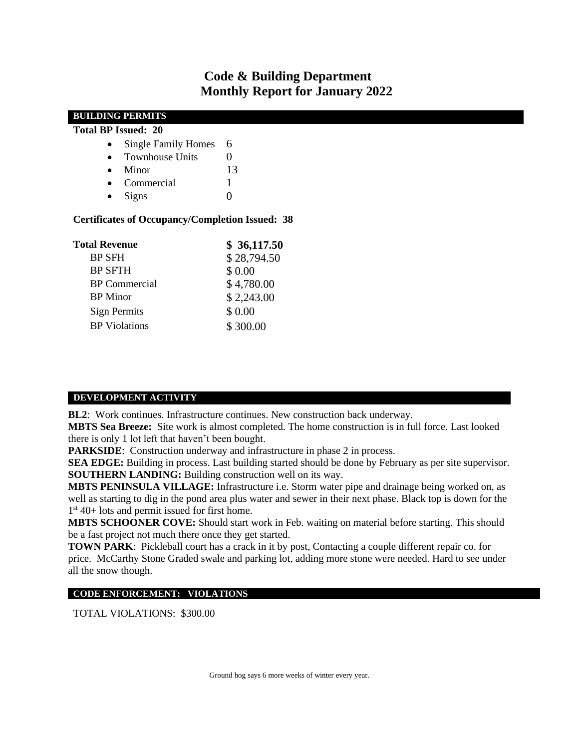## **Code & Building Department Monthly Report for January 2022**

| <b>BUILDING PERMITS</b>                                                        |                |
|--------------------------------------------------------------------------------|----------------|
| <b>Total BP Issued: 20</b>                                                     |                |
| <b>Single Family Homes</b><br>$\bullet$                                        | 6              |
| <b>Townhouse Units</b><br>$\bullet$                                            | $\overline{0}$ |
| Minor<br>٠                                                                     | 13             |
| Commercial<br>$\bullet$                                                        |                |
| <b>Signs</b><br>$\bullet$                                                      | $\overline{0}$ |
| <b>Certificates of Occupancy/Completion Issued: 38</b><br><b>Total Revenue</b> | \$36,117.50    |
| <b>BP SFH</b>                                                                  | \$28,794.50    |
| <b>BP SFTH</b>                                                                 | \$ 0.00        |
| <b>BP</b> Commercial                                                           | \$4,780.00     |
| <b>BP</b> Minor                                                                | \$2,243.00     |
| <b>Sign Permits</b>                                                            | \$ 0.00        |
| <b>BP</b> Violations                                                           | \$300.00       |

#### **DEVELOPMENT ACTIVITY**

**BL2**: Work continues. Infrastructure continues. New construction back underway.

**MBTS Sea Breeze:** Site work is almost completed. The home construction is in full force. Last looked there is only 1 lot left that haven't been bought.

**PARKSIDE**: Construction underway and infrastructure in phase 2 in process.

**SEA EDGE:** Building in process. Last building started should be done by February as per site supervisor. **SOUTHERN LANDING:** Building construction well on its way.

**MBTS PENINSULA VILLAGE:** Infrastructure i.e. Storm water pipe and drainage being worked on, as well as starting to dig in the pond area plus water and sewer in their next phase. Black top is down for the 1 st 40+ lots and permit issued for first home.

**MBTS SCHOONER COVE:** Should start work in Feb. waiting on material before starting. This should be a fast project not much there once they get started.

**TOWN PARK**: Pickleball court has a crack in it by post, Contacting a couple different repair co. for price. McCarthy Stone Graded swale and parking lot, adding more stone were needed. Hard to see under all the snow though.

#### **CODE ENFORCEMENT: VIOLATIONS**

TOTAL VIOLATIONS: \$300.00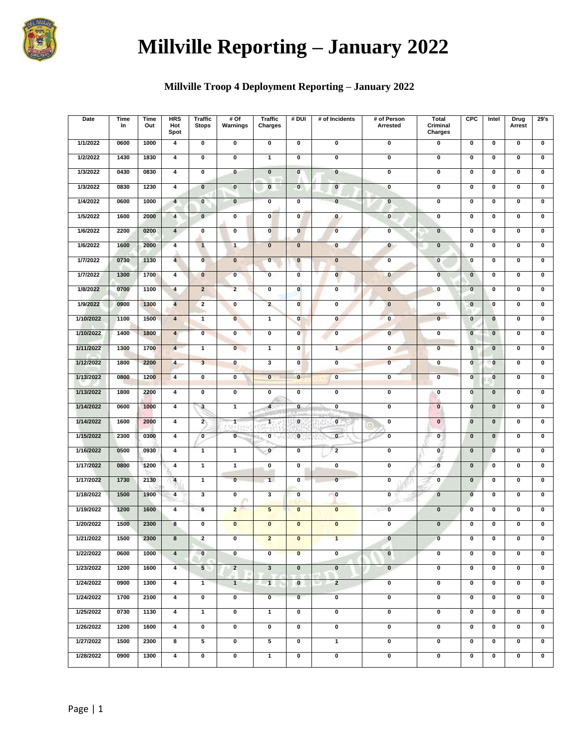

# **Millville Reporting – January 2022**

## **Millville Troop 4 Deployment Reporting – January 2022**

| Date      | Time<br>In | Time<br>Out | <b>HRS</b><br>Hot<br>Spot | <b>Traffic</b><br><b>Stops</b> | #Of<br>Warnings         | <b>Traffic</b><br>Charges | # DUI                   | # of Incidents          | # of Person<br>Arrested | <b>Total</b><br>Criminal<br>Charges | CPC                     | Intel                   | Drug<br>Arrest          | 29's                    |
|-----------|------------|-------------|---------------------------|--------------------------------|-------------------------|---------------------------|-------------------------|-------------------------|-------------------------|-------------------------------------|-------------------------|-------------------------|-------------------------|-------------------------|
| 1/1/2022  | 0600       | 1000        | 4                         | 0                              | $\pmb{0}$               | $\overline{\mathbf{0}}$   | $\mathbf 0$             | 0                       | $\overline{\mathbf{0}}$ | 0                                   | $\pmb{0}$               | $\mathbf 0$             | $\mathbf 0$             | $\pmb{0}$               |
| 1/2/2022  | 1430       | 1830        | 4                         | 0                              | $\mathbf 0$             | 1                         | $\mathbf 0$             | 0                       | $\mathbf 0$             | 0                                   | 0                       | $\bf{0}$                | $\mathbf 0$             | $\mathbf 0$             |
| 1/3/2022  | 0430       | 0830        | $\overline{\mathbf{4}}$   | $\overline{\mathbf{0}}$        | $\bullet$               | $\overline{\mathbf{0}}$   | $\overline{\mathbf{0}}$ | $\overline{\mathbf{0}}$ | $\overline{\mathbf{0}}$ | $\overline{\mathbf{0}}$             | $\overline{\mathbf{0}}$ | $\overline{\mathbf{0}}$ | $\overline{\mathbf{0}}$ | $\overline{\mathbf{0}}$ |
| 1/3/2022  | 0830       | 1230        | 4                         | $\bf{0}$                       | $\mathbf 0$             | $\bf{0}$                  | $\mathbf 0$             | $\pmb{0}$               | $\pmb{0}$               | $\pmb{0}$                           | $\pmb{0}$               | $\bf{0}$                | $\pmb{0}$               | $\pmb{0}$               |
| 1/4/2022  | 0600       | 1000        | $\overline{\mathbf{4}}$   | $\mathbf{0}$                   | $\mathbf{0}$            | $\bf{0}$                  | $\mathbf 0$             | $\mathbf{0}$            | $\pmb{0}$               | $\pmb{0}$                           | 0                       | $\mathbf 0$             | $\mathbf 0$             | $\mathbf 0$             |
| 1/5/2022  | 1600       | 2000        | 4                         | $\mathbf{0}$                   | $\mathbf 0$             | 0                         | 0                       | $\bf{0}$                | $\pmb{0}$               | $\pmb{0}$                           | $\pmb{0}$               | $\pmb{0}$               | $\pmb{0}$               | $\pmb{0}$               |
| 1/6/2022  | 2200       | 0200        | $\overline{\mathbf{4}}$   | 0                              | $\mathbf 0$             | $\mathbf 0$               | $\bf{0}$                | $\bf{0}$                | $\mathbf{0}$            | $\bf{0}$                            | $\pmb{0}$               | $\bf{0}$                | $\pmb{0}$               | $\pmb{0}$               |
| 1/6/2022  | 1600       | 2000        | $\overline{\mathbf{4}}$   | $\mathbf{1}$                   | $\mathbf{1}$            | $\pmb{0}$                 | $\pmb{0}$               | $\bf{0}$                | $\mathbf 0$             | $\pmb{0}$                           | 0                       | $\mathbf 0$             | $\pmb{0}$               | $\mathbf 0$             |
| 1/7/2022  | 0730       | 1130        | $\overline{\mathbf{4}}$   | $\overline{\mathbf{0}}$        | $\overline{\mathbf{0}}$ | $\overline{\mathbf{0}}$   | $\bf{0}$                | $\overline{\mathbf{0}}$ | $\overline{\mathbf{0}}$ | $\overline{\mathbf{0}}$             | $\overline{\mathbf{0}}$ | $\overline{\mathbf{0}}$ | $\overline{\mathbf{0}}$ | $\overline{\mathbf{0}}$ |
| 1/7/2022  | 1300       | 1700        | 4                         | $\bf{0}$                       | $\mathbf{0}$            | $\mathbf{0}$              | $\mathbf 0$             | $\bf{0}$                | $\pmb{0}$               | $\overline{\mathbf{0}}$             | $\overline{\mathbf{0}}$ | $\pmb{0}$               | $\mathbf 0$             | $\bf{0}$                |
| 1/8/2022  | 0700       | 1100        | $\overline{\mathbf{4}}$   | $\overline{2}$                 | $\overline{2}$          | 0                         | $\mathbf 0$             | 0                       | $\mathbf 0$             | $\bf{0}$                            | $\bf{0}$                | $\bf{0}$                | $\mathbf 0$             | $\pmb{0}$               |
| 1/9/2022  | 0900       | 1300        | $\overline{\mathbf{4}}$   | $\mathbf{2}$                   | $\pmb{0}$               | $\overline{2}$            | $\pmb{0}$               | 0                       | $\mathbf 0$             | $\pmb{0}$                           | $\mathbf 0$             | $\bf{0}$                | $\mathbf 0$             | $\pmb{0}$               |
| 1/10/2022 | 1100       | 1500        | $\overline{\mathbf{4}}$   | $\mathbf{1}$                   | $\bf{0}$                | $\mathbf{1}$              | $\pmb{0}$               | $\mathbf 0$             | $\mathbf{0}$            | $\overline{\mathbf{0}}$             | $\bf{0}$                | $\pmb{0}$               | $\pmb{0}$               | $\pmb{0}$               |
| 1/10/2022 | 1400       | 1800        | $\overline{\mathbf{4}}$   | $\overline{\mathbf{0}}$        | $\mathbf 0$             | 0                         | $\mathbf{0}$            | $\mathbf{0}$            | $\mathbf 0$             | $\pmb{0}$                           | $\mathbf 0$             | $\mathbf 0$             | $\mathbf 0$             | $\mathbf 0$             |
| 1/11/2022 | 1300       | 1700        | $\overline{\mathbf{4}}$   | 1                              | $\overline{\mathbf{0}}$ | $\overline{1}$            | $\overline{\mathbf{0}}$ | $\mathbf{1}$            | $\overline{\mathbf{0}}$ | $\overline{\mathbf{0}}$             | $\overline{\mathbf{0}}$ | $\overline{\mathbf{0}}$ | $\overline{\mathbf{0}}$ | $\overline{\mathbf{0}}$ |
| 1/12/2022 | 1800       | 2200        | 4                         | $\overline{\mathbf{3}}$        | $\bf{0}$                | 3                         | $\mathbf{0}$            | 0                       | $\mathbf{0}$            | $\pmb{0}$                           | $\mathbf 0$             | $\mathbf{0}$            | $\mathbf 0$             | $\pmb{0}$               |
| 1/13/2022 | 0800       | 1200        | 4                         | 0                              | $\mathbf{0}$            | $\mathbf{0}$              | $\bf{0}$                | 0                       | $\mathbf 0$             | $\mathbf 0$                         | $\mathbf 0$             | $\bf{0}$                | $\mathbf 0$             | $\mathbf 0$             |
| 1/13/2022 | 1800       | 2200        | 4                         | 0                              | $\pmb{0}$               | 0                         | 0                       | 0                       | 0                       | 0                                   | $\mathbf 0$             | $\pmb{0}$               | $\pmb{0}$               | $\pmb{0}$               |
| 1/14/2022 | 0600       | 1000        | 4                         | $\mathbf{3}$                   | $\overline{1}$          | $\overline{4}$            | $\mathbf{0}$            | 0                       | 0                       | $\bf{0}$                            | $\mathbf{0}$            | $\mathbf{0}$            | $\mathbf 0$             | $\mathbf 0$             |
| 1/14/2022 | 1600       | 2000        | 4                         | $\overline{2}$                 | 1                       | $\mathbf{1}$              | $\bf{0}$                | $\mathbf 0$             | $\pmb{0}$               | $\mathbf{0}$                        | $\mathbf 0$             | $\pmb{0}$               | $\pmb{0}$               | $\mathbf 0$             |
| 1/15/2022 | 2300       | 0300        | $\overline{\mathbf{4}}$   | $\overline{\mathbf{0}}$        | $\mathbf{0}$            | $\mathbf{0}$              | $\bf{0}$                | $\overline{\mathbf{0}}$ | $\overline{\mathbf{0}}$ | $\mathbf{0}$                        | $\overline{\mathbf{0}}$ | $\overline{\mathbf{0}}$ | $\overline{\mathbf{0}}$ | $\overline{\mathbf{0}}$ |
| 1/16/2022 | 0500       | 0930        | 4                         | $\mathbf{1}$                   | $\mathbf{1}$            | $\mathbf{0}$              | $\overline{\mathbf{0}}$ | $\overline{2}$          | 0                       | $\mathbf{0}$                        | $\bf{0}$                | $\mathbf{0}$            | $\mathbf 0$             | $\pmb{0}$               |
| 1/17/2022 | 0800       | 1200        | 4                         | $\mathbf{1}$                   | $\mathbf{1}$            | 0                         | $\pmb{0}$               | 0                       | $\pmb{0}$               | $\mathbf 0$                         | $\pmb{0}$               | $\bf{0}$                | $\mathbf 0$             | $\pmb{0}$               |
| 1/17/2022 | 1730       | 2130        | 4                         | $\mathbf{1}$                   | $\mathbf{0}$            | 1                         | $\pmb{0}$               | $\overline{\mathbf{0}}$ | $\pmb{0}$               | $\pmb{0}$                           | $\mathbf 0$             | $\pmb{0}$               | $\mathbf 0$             | $\pmb{0}$               |
| 1/18/2022 | 1500       | 1900        | $\overline{\mathbf{4}}$   | 3                              | $\pmb{0}$               | 3                         | $\pmb{0}$               | $\mathbf{0}$            | 0                       | $\pmb{0}$                           | $\overline{\mathbf{0}}$ | $\pmb{0}$               | $\mathbf 0$             | $\pmb{0}$               |
| 1/19/2022 | 1200       | 1600        | 4                         | 6                              | $\overline{\mathbf{c}}$ | 5                         | $\bf{0}$                | $\pmb{0}$               | $\bf{0}$<br>с           | $\pmb{0}$                           | 0                       | $\bf{0}$                | $\mathbf 0$             | $\bf{0}$                |
| 1/20/2022 | 1500       | 2300        | 8                         | $\overline{\mathbf{0}}$        | $\overline{\mathbf{0}}$ | $\overline{\mathbf{0}}$   | $\overline{\mathbf{0}}$ | $\overline{\mathbf{0}}$ | $\overline{\mathbf{0}}$ | $\overline{\mathbf{0}}$             | $\overline{\mathbf{0}}$ | $\overline{\mathbf{0}}$ | $\overline{\mathbf{0}}$ | $\overline{\mathbf{0}}$ |
| 1/21/2022 | 1500       | 2300        | 8                         | $\mathbf{2}$                   | 0                       | $\mathbf{z}$              | 0                       | $\mathbf{1}$            | $\mathbf{0}$            | 0                                   | 0                       | 0                       | 0                       | 0                       |
| 1/22/2022 | 0600       | 1000        | $\overline{\mathbf{4}}$   | $\mathbf{0}$                   | $\mathbf 0$             | $\overline{0}$            | $\mathbf{0}$            | 0                       | $\mathbf 0$             | 0                                   | 0                       | $\bf{0}$                | 0                       | 0                       |
| 1/23/2022 | 1200       | 1600        | $\overline{\mathbf{4}}$   | 5 <sup>5</sup>                 | $\overline{2}$          | $\overline{\mathbf{3}}$   | $\pmb{0}$               | $\mathbf 0$             | $\mathbf{0}$            | $\overline{\textbf{0}}$             | $\overline{\mathbf{0}}$ | $\pmb{0}$               | $\pmb{0}$               | $\pmb{0}$               |
| 1/24/2022 | 0900       | 1300        | $\overline{\mathbf{4}}$   | $\mathbf{1}$                   | $\overline{1}$          | $\mathbf{1}$              | $\bullet$               | $\overline{2}$<br>10< 1 | 0                       | 0                                   | 0                       | $\pmb{0}$               | $\pmb{0}$               | 0                       |
| 1/24/2022 | 1700       | 2100        | $\overline{\mathbf{4}}$   | 0                              | 0                       | $\overline{\mathbf{0}}$   | $\overline{\mathbf{0}}$ | 0                       | 0                       | 0                                   | 0                       | $\bf{0}$                | 0                       | 0                       |
| 1/25/2022 | 0730       | 1130        | $\overline{4}$            | $\mathbf{1}$                   | $\overline{\mathbf{0}}$ | $\mathbf{1}$              | $\overline{\mathbf{0}}$ | $\overline{\mathbf{0}}$ | $\overline{\mathbf{0}}$ | $\overline{\mathbf{0}}$             | $\overline{\mathbf{0}}$ | 0                       | $\mathbf 0$             | 0                       |
| 1/26/2022 | 1200       | 1600        | $\overline{\mathbf{4}}$   | 0                              | $\overline{\mathbf{0}}$ | 0                         | $\pmb{0}$               | 0                       | $\overline{\mathbf{0}}$ | 0                                   | 0                       | $\pmb{0}$               | $\pmb{0}$               | 0                       |
| 1/27/2022 | 1500       | 2300        | 8                         | 5                              | $\pmb{0}$               | 5                         | $\pmb{0}$               | $\mathbf{1}$            | $\pmb{0}$               | $\pmb{0}$                           | 0                       | $\bf{0}$                | 0                       | 0                       |
| 1/28/2022 | 0900       | 1300        | $\overline{\mathbf{4}}$   | 0                              | $\pmb{0}$               | $\mathbf{1}$              | $\pmb{0}$               | 0                       | 0                       | 0                                   | 0                       | 0                       | 0                       | $\pmb{0}$               |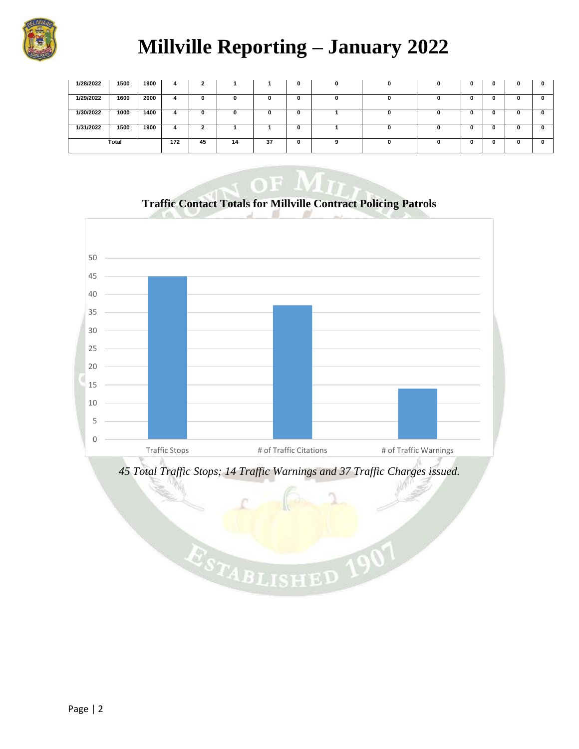

# **Millville Reporting – January 2022**

| 1/28/2022 | 1500 | 1900 | 4  | 2  |    |  | 0 | 0 | 0 | <sup>0</sup> | 0 | 0 | 0 | 0 |
|-----------|------|------|----|----|----|--|---|---|---|--------------|---|---|---|---|
| 1/29/2022 | 1600 | 2000 | 4  |    | 0  |  | 0 | 0 | 0 |              |   |   | v |   |
| 1/30/2022 | 1000 | 1400 | 4  |    | o  |  | 0 |   | 0 |              |   | o | u |   |
| 1/31/2022 | 1500 | 1900 | 4  |    |    |  | 0 |   | 0 |              |   |   | u |   |
| Total     |      | 172  | 45 | 14 | 37 |  | 9 | 0 |   |              |   |   |   |   |



**Traffic Contact Totals for Millville Contract Policing Patrols**



ESTABLISHED

 $, 190$